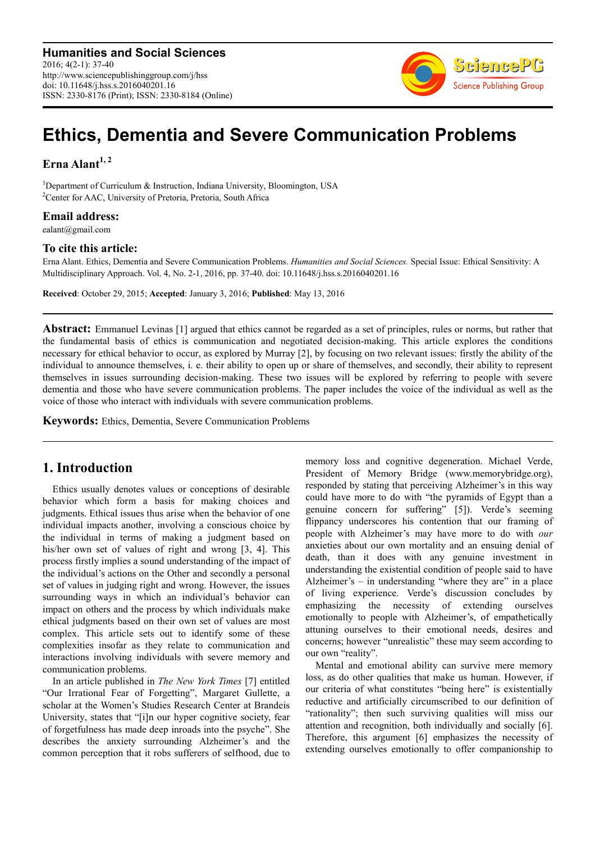**Humanities and Social Sciences** 2016; 4(2-1): 37-40 http://www.sciencepublishinggroup.com/j/hss doi: 10.11648/j.hss.s.2016040201.16 ISSN: 2330-8176 (Print); ISSN: 2330-8184 (Online)



# **Ethics, Dementia and Severe Communication Problems**

**Erna Alant1, 2** 

<sup>1</sup>Department of Curriculum  $\&$  Instruction, Indiana University, Bloomington, USA <sup>2</sup>Center for AAC, University of Pretoria, Pretoria, South Africa

#### **Email address:**

ealant@gmail.com

#### **To cite this article:**

Erna Alant. Ethics, Dementia and Severe Communication Problems. *Humanities and Social Sciences.* Special Issue: Ethical Sensitivity: A Multidisciplinary Approach. Vol. 4, No. 2-1, 2016, pp. 37-40. doi: 10.11648/j.hss.s.2016040201.16

**Received**: October 29, 2015; **Accepted**: January 3, 2016; **Published**: May 13, 2016

**Abstract:** Emmanuel Levinas [1] argued that ethics cannot be regarded as a set of principles, rules or norms, but rather that the fundamental basis of ethics is communication and negotiated decision-making. This article explores the conditions necessary for ethical behavior to occur, as explored by Murray [2], by focusing on two relevant issues: firstly the ability of the individual to announce themselves, i. e. their ability to open up or share of themselves, and secondly, their ability to represent themselves in issues surrounding decision-making. These two issues will be explored by referring to people with severe dementia and those who have severe communication problems. The paper includes the voice of the individual as well as the voice of those who interact with individuals with severe communication problems.

**Keywords:** Ethics, Dementia, Severe Communication Problems

### **1. Introduction**

Ethics usually denotes values or conceptions of desirable behavior which form a basis for making choices and judgments. Ethical issues thus arise when the behavior of one individual impacts another, involving a conscious choice by the individual in terms of making a judgment based on his/her own set of values of right and wrong [3, 4]. This process firstly implies a sound understanding of the impact of the individual's actions on the Other and secondly a personal set of values in judging right and wrong. However, the issues surrounding ways in which an individual's behavior can impact on others and the process by which individuals make ethical judgments based on their own set of values are most complex. This article sets out to identify some of these complexities insofar as they relate to communication and interactions involving individuals with severe memory and communication problems.

In an article published in *The New York Times* [7] entitled "Our Irrational Fear of Forgetting", Margaret Gullette, a scholar at the Women's Studies Research Center at Brandeis University, states that "[i]n our hyper cognitive society, fear of forgetfulness has made deep inroads into the psyche". She describes the anxiety surrounding Alzheimer's and the common perception that it robs sufferers of selfhood, due to

memory loss and cognitive degeneration. Michael Verde, President of Memory Bridge (www.memorybridge.org), responded by stating that perceiving Alzheimer's in this way could have more to do with "the pyramids of Egypt than a genuine concern for suffering" [5]). Verde's seeming flippancy underscores his contention that our framing of people with Alzheimer's may have more to do with *our*  anxieties about our own mortality and an ensuing denial of death, than it does with any genuine investment in understanding the existential condition of people said to have Alzheimer's – in understanding "where they are" in a place of living experience. Verde's discussion concludes by emphasizing the necessity of extending ourselves emotionally to people with Alzheimer's, of empathetically attuning ourselves to their emotional needs, desires and concerns; however "unrealistic" these may seem according to our own "reality".

Mental and emotional ability can survive mere memory loss, as do other qualities that make us human. However, if our criteria of what constitutes "being here" is existentially reductive and artificially circumscribed to our definition of "rationality"; then such surviving qualities will miss our attention and recognition, both individually and socially [6]. Therefore, this argument [6] emphasizes the necessity of extending ourselves emotionally to offer companionship to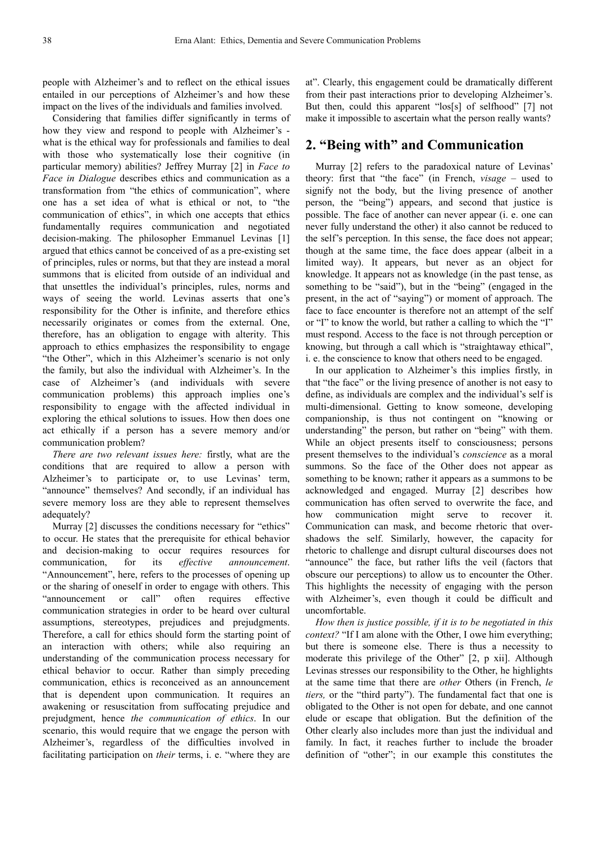people with Alzheimer's and to reflect on the ethical issues entailed in our perceptions of Alzheimer's and how these impact on the lives of the individuals and families involved.

Considering that families differ significantly in terms of how they view and respond to people with Alzheimer's what is the ethical way for professionals and families to deal with those who systematically lose their cognitive (in particular memory) abilities? Jeffrey Murray [2] in *Face to Face in Dialogue* describes ethics and communication as a transformation from "the ethics of communication", where one has a set idea of what is ethical or not, to "the communication of ethics", in which one accepts that ethics fundamentally requires communication and negotiated decision-making. The philosopher Emmanuel Levinas [1] argued that ethics cannot be conceived of as a pre-existing set of principles, rules or norms, but that they are instead a moral summons that is elicited from outside of an individual and that unsettles the individual's principles, rules, norms and ways of seeing the world. Levinas asserts that one's responsibility for the Other is infinite, and therefore ethics necessarily originates or comes from the external. One, therefore, has an obligation to engage with alterity. This approach to ethics emphasizes the responsibility to engage "the Other", which in this Alzheimer's scenario is not only the family, but also the individual with Alzheimer's. In the case of Alzheimer's (and individuals with severe communication problems) this approach implies one's responsibility to engage with the affected individual in exploring the ethical solutions to issues. How then does one act ethically if a person has a severe memory and/or communication problem?

*There are two relevant issues here:* firstly, what are the conditions that are required to allow a person with Alzheimer's to participate or, to use Levinas' term, "announce" themselves? And secondly, if an individual has severe memory loss are they able to represent themselves adequately?

Murray [2] discusses the conditions necessary for "ethics" to occur. He states that the prerequisite for ethical behavior and decision-making to occur requires resources for communication, for its *effective announcement*. "Announcement", here, refers to the processes of opening up or the sharing of oneself in order to engage with others. This "announcement or call" often requires effective communication strategies in order to be heard over cultural assumptions, stereotypes, prejudices and prejudgments. Therefore, a call for ethics should form the starting point of an interaction with others; while also requiring an understanding of the communication process necessary for ethical behavior to occur. Rather than simply preceding communication, ethics is reconceived as an announcement that is dependent upon communication. It requires an awakening or resuscitation from suffocating prejudice and prejudgment, hence *the communication of ethics*. In our scenario, this would require that we engage the person with Alzheimer's, regardless of the difficulties involved in facilitating participation on *their* terms, i. e. "where they are

at". Clearly, this engagement could be dramatically different from their past interactions prior to developing Alzheimer's. But then, could this apparent "los[s] of selfhood" [7] not make it impossible to ascertain what the person really wants?

## **2. "Being with" and Communication**

Murray [2] refers to the paradoxical nature of Levinas' theory: first that "the face" (in French, *visage –* used to signify not the body, but the living presence of another person, the "being") appears, and second that justice is possible. The face of another can never appear (i. e. one can never fully understand the other) it also cannot be reduced to the self's perception. In this sense, the face does not appear; though at the same time, the face does appear (albeit in a limited way). It appears, but never as an object for knowledge. It appears not as knowledge (in the past tense, as something to be "said"), but in the "being" (engaged in the present, in the act of "saying") or moment of approach. The face to face encounter is therefore not an attempt of the self or "I" to know the world, but rather a calling to which the "I" must respond. Access to the face is not through perception or knowing, but through a call which is "straightaway ethical", i. e. the conscience to know that others need to be engaged.

In our application to Alzheimer's this implies firstly, in that "the face" or the living presence of another is not easy to define, as individuals are complex and the individual's self is multi-dimensional. Getting to know someone, developing companionship, is thus not contingent on "knowing or understanding" the person, but rather on "being" with them. While an object presents itself to consciousness; persons present themselves to the individual's *conscience* as a moral summons. So the face of the Other does not appear as something to be known; rather it appears as a summons to be acknowledged and engaged. Murray [2] describes how communication has often served to overwrite the face, and how communication might serve to recover it. Communication can mask, and become rhetoric that overshadows the self. Similarly, however, the capacity for rhetoric to challenge and disrupt cultural discourses does not "announce" the face, but rather lifts the veil (factors that obscure our perceptions) to allow us to encounter the Other. This highlights the necessity of engaging with the person with Alzheimer's, even though it could be difficult and uncomfortable.

*How then is justice possible, if it is to be negotiated in this context?* "If I am alone with the Other, I owe him everything; but there is someone else. There is thus a necessity to moderate this privilege of the Other" [2, p xii]. Although Levinas stresses our responsibility to the Other, he highlights at the same time that there are *other* Others (in French, *le tiers,* or the "third party"). The fundamental fact that one is obligated to the Other is not open for debate, and one cannot elude or escape that obligation. But the definition of the Other clearly also includes more than just the individual and family. In fact, it reaches further to include the broader definition of "other"; in our example this constitutes the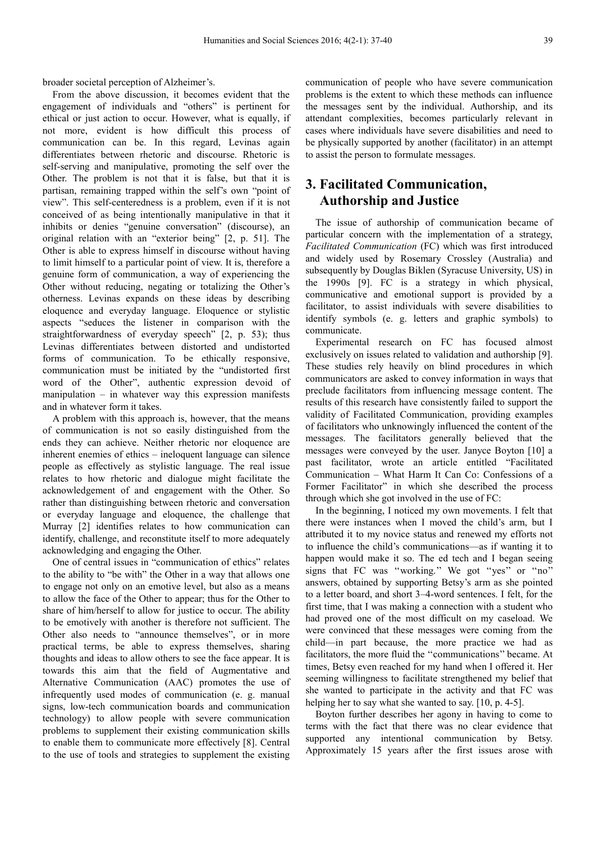broader societal perception of Alzheimer's.

From the above discussion, it becomes evident that the engagement of individuals and "others" is pertinent for ethical or just action to occur. However, what is equally, if not more, evident is how difficult this process of communication can be. In this regard, Levinas again differentiates between rhetoric and discourse. Rhetoric is self-serving and manipulative, promoting the self over the Other. The problem is not that it is false, but that it is partisan, remaining trapped within the self's own "point of view". This self-centeredness is a problem, even if it is not conceived of as being intentionally manipulative in that it inhibits or denies "genuine conversation" (discourse), an original relation with an "exterior being" [2, p. 51]. The Other is able to express himself in discourse without having to limit himself to a particular point of view. It is, therefore a genuine form of communication, a way of experiencing the Other without reducing, negating or totalizing the Other's otherness. Levinas expands on these ideas by describing eloquence and everyday language. Eloquence or stylistic aspects "seduces the listener in comparison with the straightforwardness of everyday speech" [2, p. 53); thus Levinas differentiates between distorted and undistorted forms of communication. To be ethically responsive, communication must be initiated by the "undistorted first word of the Other", authentic expression devoid of manipulation – in whatever way this expression manifests and in whatever form it takes.

A problem with this approach is, however, that the means of communication is not so easily distinguished from the ends they can achieve. Neither rhetoric nor eloquence are inherent enemies of ethics – ineloquent language can silence people as effectively as stylistic language. The real issue relates to how rhetoric and dialogue might facilitate the acknowledgement of and engagement with the Other. So rather than distinguishing between rhetoric and conversation or everyday language and eloquence, the challenge that Murray [2] identifies relates to how communication can identify, challenge, and reconstitute itself to more adequately acknowledging and engaging the Other.

One of central issues in "communication of ethics" relates to the ability to "be with" the Other in a way that allows one to engage not only on an emotive level, but also as a means to allow the face of the Other to appear; thus for the Other to share of him/herself to allow for justice to occur. The ability to be emotively with another is therefore not sufficient. The Other also needs to "announce themselves", or in more practical terms, be able to express themselves, sharing thoughts and ideas to allow others to see the face appear. It is towards this aim that the field of Augmentative and Alternative Communication (AAC) promotes the use of infrequently used modes of communication (e. g. manual signs, low-tech communication boards and communication technology) to allow people with severe communication problems to supplement their existing communication skills to enable them to communicate more effectively [8]. Central to the use of tools and strategies to supplement the existing

communication of people who have severe communication problems is the extent to which these methods can influence the messages sent by the individual. Authorship, and its attendant complexities, becomes particularly relevant in cases where individuals have severe disabilities and need to be physically supported by another (facilitator) in an attempt to assist the person to formulate messages.

## **3. Facilitated Communication, Authorship and Justice**

The issue of authorship of communication became of particular concern with the implementation of a strategy, *Facilitated Communication* (FC) which was first introduced and widely used by Rosemary Crossley (Australia) and subsequently by Douglas Biklen (Syracuse University, US) in the 1990s [9]. FC is a strategy in which physical, communicative and emotional support is provided by a facilitator, to assist individuals with severe disabilities to identify symbols (e. g. letters and graphic symbols) to communicate.

Experimental research on FC has focused almost exclusively on issues related to validation and authorship [9]. These studies rely heavily on blind procedures in which communicators are asked to convey information in ways that preclude facilitators from influencing message content. The results of this research have consistently failed to support the validity of Facilitated Communication, providing examples of facilitators who unknowingly influenced the content of the messages. The facilitators generally believed that the messages were conveyed by the user. Janyce Boyton [10] a past facilitator, wrote an article entitled "Facilitated Communication – What Harm It Can Co: Confessions of a Former Facilitator" in which she described the process through which she got involved in the use of FC:

In the beginning, I noticed my own movements. I felt that there were instances when I moved the child's arm, but I attributed it to my novice status and renewed my efforts not to influence the child's communications—as if wanting it to happen would make it so. The ed tech and I began seeing signs that FC was ''working.'' We got ''yes'' or ''no'' answers, obtained by supporting Betsy's arm as she pointed to a letter board, and short 3–4-word sentences. I felt, for the first time, that I was making a connection with a student who had proved one of the most difficult on my caseload. We were convinced that these messages were coming from the child—in part because, the more practice we had as facilitators, the more fluid the ''communications'' became. At times, Betsy even reached for my hand when I offered it. Her seeming willingness to facilitate strengthened my belief that she wanted to participate in the activity and that FC was helping her to say what she wanted to say. [10, p. 4-5].

Boyton further describes her agony in having to come to terms with the fact that there was no clear evidence that supported any intentional communication by Betsy. Approximately 15 years after the first issues arose with